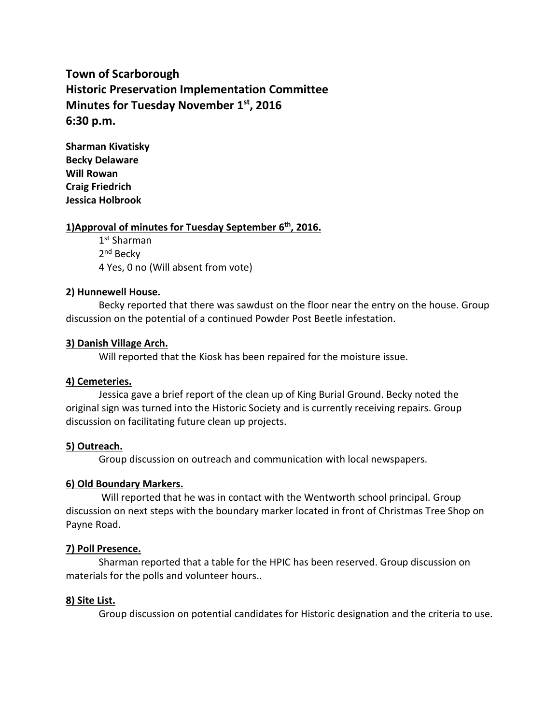# **Town of Scarborough Historic Preservation Implementation Committee Minutes for Tuesday November 1 st, 2016 6:30 p.m.**

**Sharman Kivatisky Becky Delaware Will Rowan Craig Friedrich Jessica Holbrook**

# **1)Approval of minutes for Tuesday September 6 th , 2016.**

1 st Sharman 2<sup>nd</sup> Becky 4 Yes, 0 no (Will absent from vote)

## **2) Hunnewell House.**

Becky reported that there was sawdust on the floor near the entry on the house. Group discussion on the potential of a continued Powder Post Beetle infestation.

## **3) Danish Village Arch.**

Will reported that the Kiosk has been repaired for the moisture issue.

### **4) Cemeteries.**

Jessica gave a brief report of the clean up of King Burial Ground. Becky noted the original sign was turned into the Historic Society and is currently receiving repairs. Group discussion on facilitating future clean up projects.

### **5) Outreach.**

Group discussion on outreach and communication with local newspapers.

# **6) Old Boundary Markers.**

Will reported that he was in contact with the Wentworth school principal. Group discussion on next steps with the boundary marker located in front of Christmas Tree Shop on Payne Road.

### **7) Poll Presence.**

Sharman reported that a table for the HPIC has been reserved. Group discussion on materials for the polls and volunteer hours..

### **8) Site List.**

Group discussion on potential candidates for Historic designation and the criteria to use.